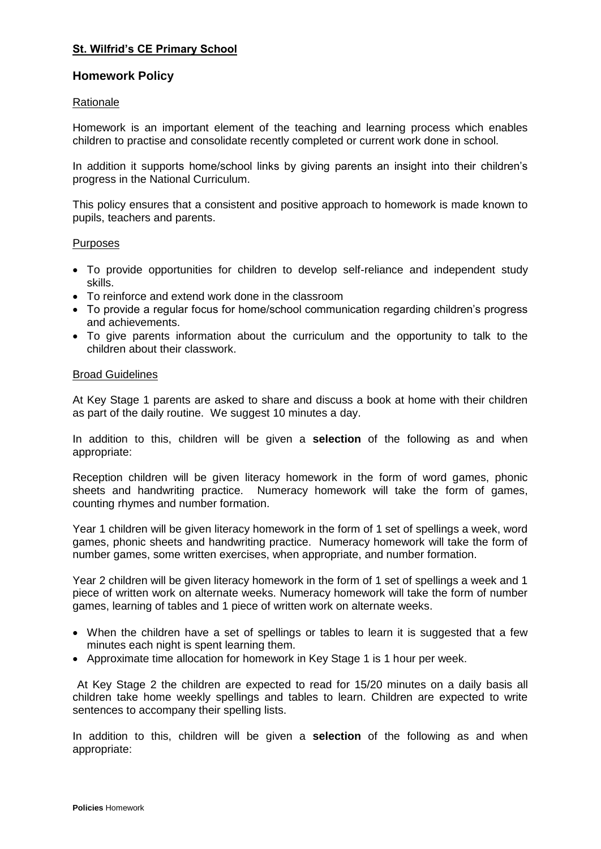# **St. Wilfrid's CE Primary School**

## **Homework Policy**

#### Rationale

Homework is an important element of the teaching and learning process which enables children to practise and consolidate recently completed or current work done in school.

In addition it supports home/school links by giving parents an insight into their children's progress in the National Curriculum.

This policy ensures that a consistent and positive approach to homework is made known to pupils, teachers and parents.

#### Purposes

- To provide opportunities for children to develop self-reliance and independent study skills.
- To reinforce and extend work done in the classroom
- To provide a regular focus for home/school communication regarding children's progress and achievements.
- To give parents information about the curriculum and the opportunity to talk to the children about their classwork.

#### Broad Guidelines

At Key Stage 1 parents are asked to share and discuss a book at home with their children as part of the daily routine. We suggest 10 minutes a day.

In addition to this, children will be given a **selection** of the following as and when appropriate:

Reception children will be given literacy homework in the form of word games, phonic sheets and handwriting practice. Numeracy homework will take the form of games, counting rhymes and number formation.

Year 1 children will be given literacy homework in the form of 1 set of spellings a week, word games, phonic sheets and handwriting practice. Numeracy homework will take the form of number games, some written exercises, when appropriate, and number formation.

Year 2 children will be given literacy homework in the form of 1 set of spellings a week and 1 piece of written work on alternate weeks. Numeracy homework will take the form of number games, learning of tables and 1 piece of written work on alternate weeks.

- When the children have a set of spellings or tables to learn it is suggested that a few minutes each night is spent learning them.
- Approximate time allocation for homework in Key Stage 1 is 1 hour per week.

At Key Stage 2 the children are expected to read for 15/20 minutes on a daily basis all children take home weekly spellings and tables to learn. Children are expected to write sentences to accompany their spelling lists.

In addition to this, children will be given a **selection** of the following as and when appropriate: